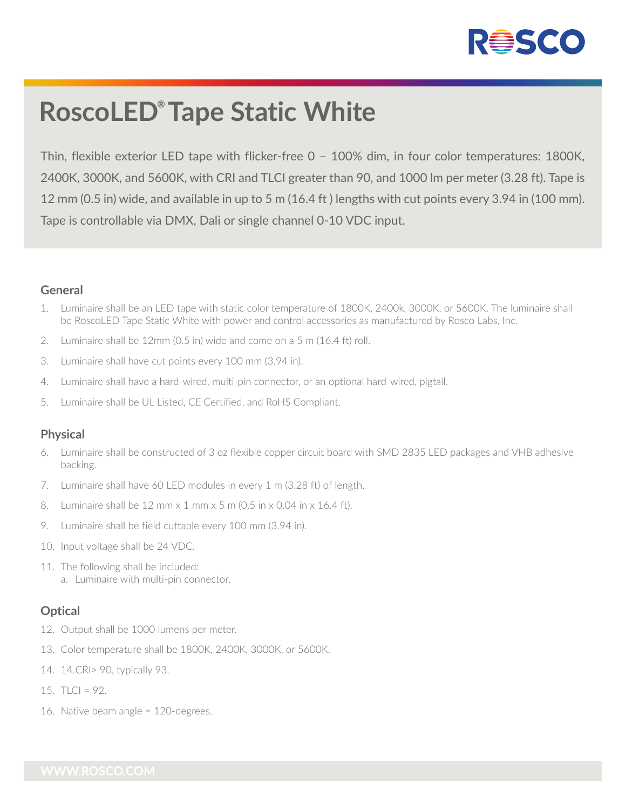

# **RoscoLED® Tape Static White**

Thin, flexible exterior LED tape with flicker-free 0 – 100% dim, in four color temperatures: 1800K, 2400K, 3000K, and 5600K, with CRI and TLCI greater than 90, and 1000 lm per meter (3.28 ft). Tape is 12 mm (0.5 in) wide, and available in up to 5 m (16.4 ft ) lengths with cut points every 3.94 in (100 mm). Tape is controllable via DMX, Dali or single channel 0-10 VDC input.

### **General**

- 1. Luminaire shall be an LED tape with static color temperature of 1800K, 2400k, 3000K, or 5600K. The luminaire shall be RoscoLED Tape Static White with power and control accessories as manufactured by Rosco Labs, Inc.
- 2. Luminaire shall be 12mm (0.5 in) wide and come on a 5 m (16.4 ft) roll.
- 3. Luminaire shall have cut points every 100 mm (3.94 in).
- 4. Luminaire shall have a hard-wired, multi-pin connector, or an optional hard-wired, pigtail.
- 5. Luminaire shall be UL Listed, CE Certified, and RoHS Compliant.

## **Physical**

- 6. Luminaire shall be constructed of 3 oz flexible copper circuit board with SMD 2835 LED packages and VHB adhesive backing.
- 7. Luminaire shall have 60 LED modules in every 1 m (3.28 ft) of length.
- 8. Luminaire shall be 12 mm x 1 mm x 5 m (0.5 in x 0.04 in x 16.4 ft).
- 9. Luminaire shall be field cuttable every 100 mm (3.94 in).
- 10. Input voltage shall be 24 VDC.
- 11. The following shall be included: a. Luminaire with multi-pin connector.

## **Optical**

- 12. Output shall be 1000 lumens per meter.
- 13. Color temperature shall be 1800K, 2400K, 3000K, or 5600K.
- 14. 14. CRI> 90, typically 93.
- 15.  $TLC = 92$ .
- 16. Native beam angle = 120-degrees.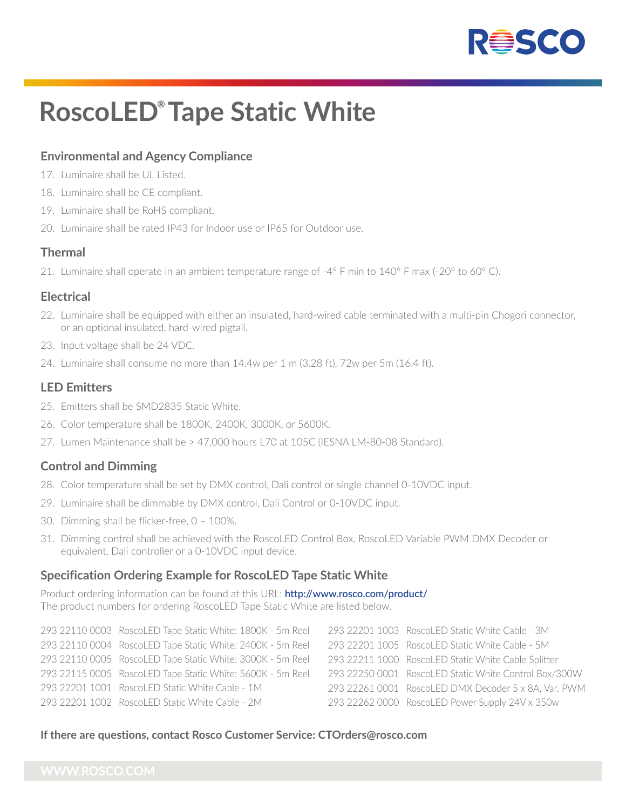

# **RoscoLED® Tape Static White**

# **Environmental and Agency Compliance**

- 17. Luminaire shall be UL Listed.
- 18. Luminaire shall be CE compliant.
- 19. Luminaire shall be RoHS compliant.
- 20. Luminaire shall be rated IP43 for Indoor use or IP65 for Outdoor use.

#### **Thermal**

21. Luminaire shall operate in an ambient temperature range of -4° F min to 140° F max (-20° to 60° C).

#### **Electrical**

- 22. Luminaire shall be equipped with either an insulated, hard-wired cable terminated with a multi-pin Chogori connector, or an optional insulated, hard-wired pigtail.
- 23. Input voltage shall be 24 VDC.
- 24. Luminaire shall consume no more than 14.4w per 1 m (3.28 ft), 72w per 5m (16.4 ft).

#### **LED Emitters**

- 25. Emitters shall be SMD2835 Static White.
- 26. Color temperature shall be 1800K, 2400K, 3000K, or 5600K.
- 27. Lumen Maintenance shall be > 47,000 hours L70 at 105C (IESNA LM-80-08 Standard).

#### **Control and Dimming**

- 28. Color temperature shall be set by DMX control, Dali control or single channel 0-10VDC input.
- 29. Luminaire shall be dimmable by DMX control, Dali Control or 0-10VDC input.
- 30. Dimming shall be flicker-free, 0 100%.
- 31. Dimming control shall be achieved with the RoscoLED Control Box, RoscoLED Variable PWM DMX Decoder or equivalent, Dali controller or a 0-10VDC input device.

#### **Specification Ordering Example for RoscoLED Tape Static White**

Product ordering information can be found at this URL: **http://www.rosco.com/product/** The product numbers for ordering RoscoLED Tape Static White are listed below.

| 293 22110 0003 RoscoLED Tape Static White: 1800K - 5m Reel | 293 22201 1003 RoscoLED Static White Cable - 3M       |
|------------------------------------------------------------|-------------------------------------------------------|
| 293 22110 0004 RoscoLED Tape Static White: 2400K - 5m Reel | 293 22201 1005 RoscoLED Static White Cable - 5M       |
| 293 22110 0005 RoscoLED Tape Static White: 3000K - 5m Reel | 293 22211 1000 RoscoLED Static White Cable Splitter   |
| 293 22115 0005 RoscoLED Tape Static White: 5600K - 5m Reel | 293 22250 0001 RoscoLED Static White Control Box/300W |
| 293 22201 1001 RoscoLED Static White Cable - 1M            | 293 22261 0001 RoscoLED DMX Decoder 5 x 8A, Var. PWM  |
| 293 22201 1002 RoscoLED Static White Cable - 2M            | 293 22262 0000 RoscoLED Power Supply 24V x 350w       |
|                                                            |                                                       |

#### **If there are questions, contact Rosco Customer Service: CTOrders@rosco.com**